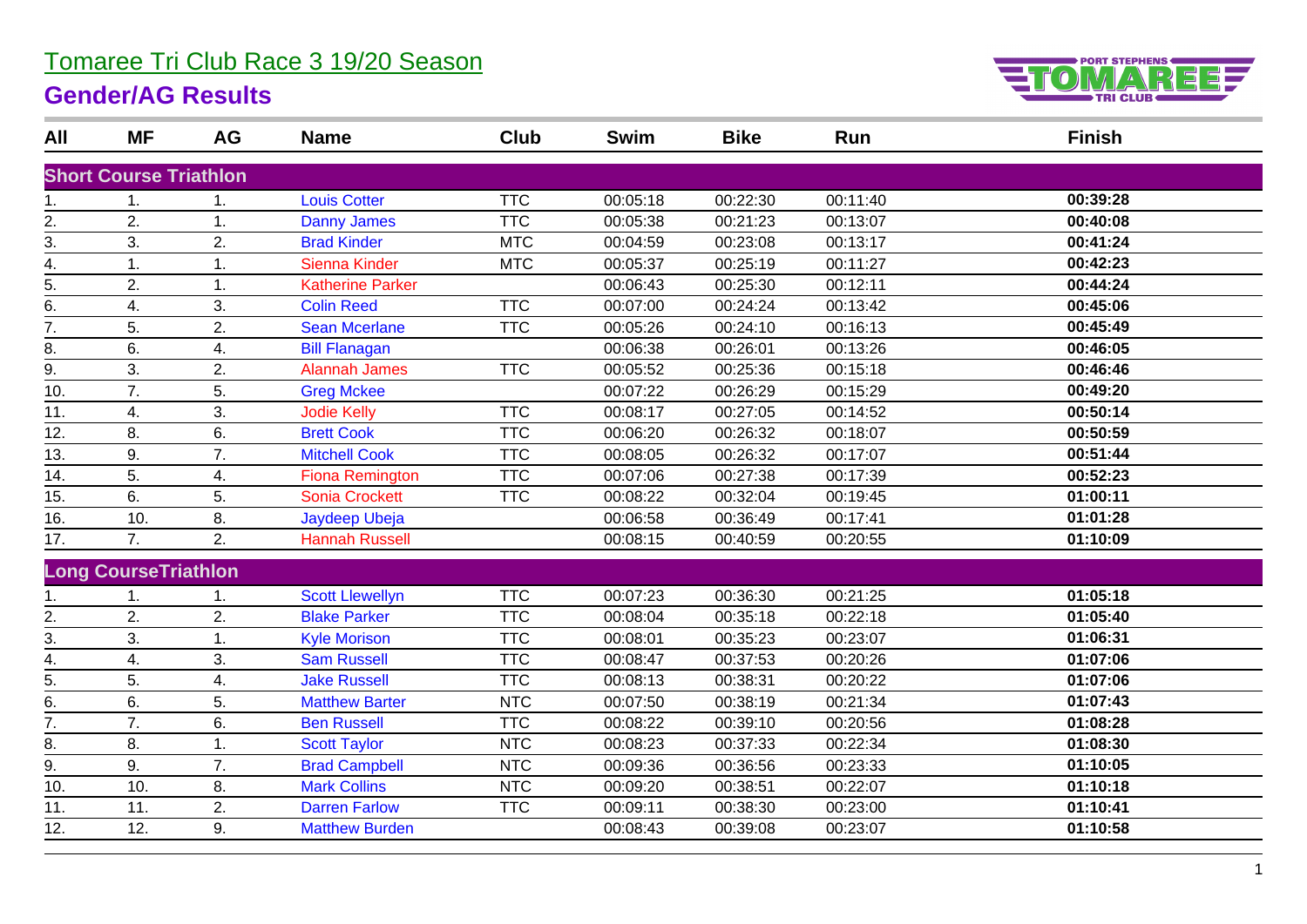## Tomaree Tri Club Race 3 19/20 Season

### **Gender/AG Results**



| All               | <b>MF</b>                     | <b>AG</b> | <b>Name</b>             | <b>Club</b> | <b>Swim</b> | <b>Bike</b> | Run      | <b>Finish</b> |
|-------------------|-------------------------------|-----------|-------------------------|-------------|-------------|-------------|----------|---------------|
|                   | <b>Short Course Triathlon</b> |           |                         |             |             |             |          |               |
| 1.                | 1.                            | 1.        | <b>Louis Cotter</b>     | <b>TTC</b>  | 00:05:18    | 00:22:30    | 00:11:40 | 00:39:28      |
| 2.                | 2.                            | 1.        | <b>Danny James</b>      | <b>TTC</b>  | 00:05:38    | 00:21:23    | 00:13:07 | 00:40:08      |
| 3.                | 3.                            | 2.        | <b>Brad Kinder</b>      | <b>MTC</b>  | 00:04:59    | 00:23:08    | 00:13:17 | 00:41:24      |
| 4.                | 1.                            | 1.        | Sienna Kinder           | <b>MTC</b>  | 00:05:37    | 00:25:19    | 00:11:27 | 00:42:23      |
| 5.                | 2.                            | 1.        | <b>Katherine Parker</b> |             | 00:06:43    | 00:25:30    | 00:12:11 | 00:44:24      |
| 6.                | 4.                            | 3.        | <b>Colin Reed</b>       | <b>TTC</b>  | 00:07:00    | 00:24:24    | 00:13:42 | 00:45:06      |
| 7.                | 5.                            | 2.        | <b>Sean Mcerlane</b>    | <b>TTC</b>  | 00:05:26    | 00:24:10    | 00:16:13 | 00:45:49      |
| 8.                | 6.                            | 4.        | <b>Bill Flanagan</b>    |             | 00:06:38    | 00:26:01    | 00:13:26 | 00:46:05      |
| 9.                | 3.                            | 2.        | <b>Alannah James</b>    | <b>TTC</b>  | 00:05:52    | 00:25:36    | 00:15:18 | 00:46:46      |
| 10.               | 7.                            | 5.        | <b>Greg Mckee</b>       |             | 00:07:22    | 00:26:29    | 00:15:29 | 00:49:20      |
| 11.               | 4.                            | 3.        | <b>Jodie Kelly</b>      | <b>TTC</b>  | 00:08:17    | 00:27:05    | 00:14:52 | 00:50:14      |
| $\overline{12}$ . | 8.                            | 6.        | <b>Brett Cook</b>       | <b>TTC</b>  | 00:06:20    | 00:26:32    | 00:18:07 | 00:50:59      |
| 13.               | 9.                            | 7.        | <b>Mitchell Cook</b>    | <b>TTC</b>  | 00:08:05    | 00:26:32    | 00:17:07 | 00:51:44      |
| 14.               | 5.                            | 4.        | <b>Fiona Remington</b>  | <b>TTC</b>  | 00:07:06    | 00:27:38    | 00:17:39 | 00:52:23      |
| 15.               | 6.                            | 5.        | <b>Sonia Crockett</b>   | <b>TTC</b>  | 00:08:22    | 00:32:04    | 00:19:45 | 01:00:11      |
| 16.               | 10.                           | 8.        | Jaydeep Ubeja           |             | 00:06:58    | 00:36:49    | 00:17:41 | 01:01:28      |
| 17.               | 7.                            | 2.        | <b>Hannah Russell</b>   |             | 00:08:15    | 00:40:59    | 00:20:55 | 01:10:09      |
|                   | <b>Long CourseTriathlon</b>   |           |                         |             |             |             |          |               |
| 1.                |                               | 1.        | <b>Scott Llewellyn</b>  | <b>TTC</b>  | 00:07:23    | 00:36:30    | 00:21:25 | 01:05:18      |
| 2.                | 2.                            | 2.        | <b>Blake Parker</b>     | <b>TTC</b>  | 00:08:04    | 00:35:18    | 00:22:18 | 01:05:40      |
| 3.                | 3.                            | 1.        | <b>Kyle Morison</b>     | <b>TTC</b>  | 00:08:01    | 00:35:23    | 00:23:07 | 01:06:31      |
| 4.                | 4.                            | 3.        | <b>Sam Russell</b>      | <b>TTC</b>  | 00:08:47    | 00:37:53    | 00:20:26 | 01:07:06      |
| 5.                | 5.                            | 4.        | <b>Jake Russell</b>     | <b>TTC</b>  | 00:08:13    | 00:38:31    | 00:20:22 | 01:07:06      |
| 6.                | 6.                            | 5.        | <b>Matthew Barter</b>   | <b>NTC</b>  | 00:07:50    | 00:38:19    | 00:21:34 | 01:07:43      |
| 7.                | 7.                            | 6.        | <b>Ben Russell</b>      | <b>TTC</b>  | 00:08:22    | 00:39:10    | 00:20:56 | 01:08:28      |
| 8.                | 8.                            | 1.        | <b>Scott Taylor</b>     | <b>NTC</b>  | 00:08:23    | 00:37:33    | 00:22:34 | 01:08:30      |
| 9.                | 9.                            | 7.        | <b>Brad Campbell</b>    | <b>NTC</b>  | 00:09:36    | 00:36:56    | 00:23:33 | 01:10:05      |
| 10.               | 10.                           | 8.        | <b>Mark Collins</b>     | <b>NTC</b>  | 00:09:20    | 00:38:51    | 00:22:07 | 01:10:18      |
| 11.               | 11.                           | 2.        | <b>Darren Farlow</b>    | <b>TTC</b>  | 00:09:11    | 00:38:30    | 00:23:00 | 01:10:41      |
| $\overline{12}$ . | 12.                           | 9.        | <b>Matthew Burden</b>   |             | 00:08:43    | 00:39:08    | 00:23:07 | 01:10:58      |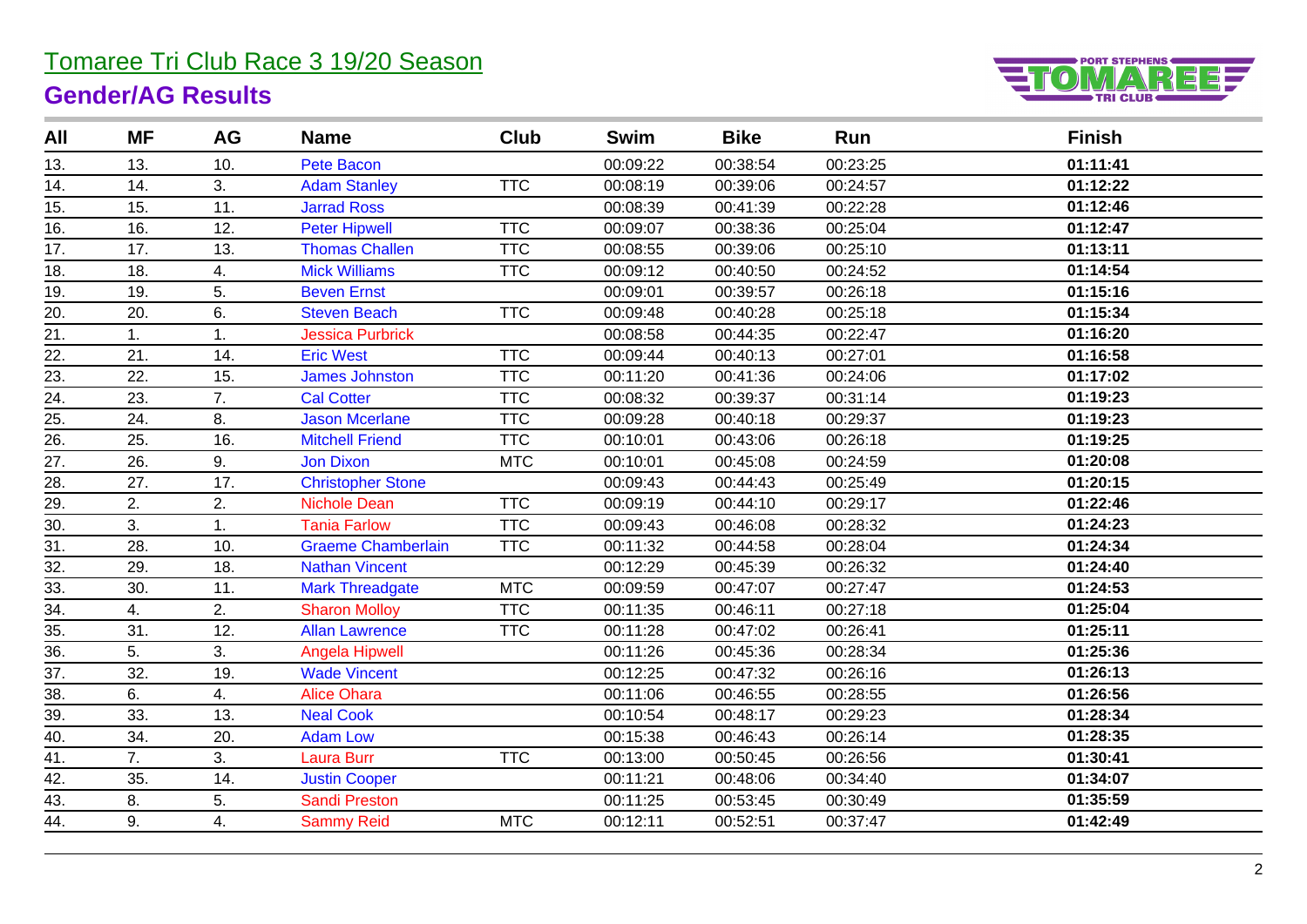# Tomaree Tri Club Race 3 19/20 Season

## **Gender/AG Results**



| All               | <b>MF</b> | AG  | <b>Name</b>               | Club       | <b>Swim</b> | <b>Bike</b> | Run      | <b>Finish</b> |
|-------------------|-----------|-----|---------------------------|------------|-------------|-------------|----------|---------------|
| 13.               | 13.       | 10. | <b>Pete Bacon</b>         |            | 00:09:22    | 00:38:54    | 00:23:25 | 01:11:41      |
| 14.               | 14.       | 3.  | <b>Adam Stanley</b>       | <b>TTC</b> | 00:08:19    | 00:39:06    | 00:24:57 | 01:12:22      |
| 15.               | 15.       | 11. | <b>Jarrad Ross</b>        |            | 00:08:39    | 00:41:39    | 00:22:28 | 01:12:46      |
| 16.               | 16.       | 12. | <b>Peter Hipwell</b>      | TTC        | 00:09:07    | 00:38:36    | 00:25:04 | 01:12:47      |
| 17.               | 17.       | 13. | <b>Thomas Challen</b>     | <b>TTC</b> | 00:08:55    | 00:39:06    | 00:25:10 | 01:13:11      |
| 18.               | 18.       | 4.  | <b>Mick Williams</b>      | <b>TTC</b> | 00:09:12    | 00:40:50    | 00:24:52 | 01:14:54      |
| 19.               | 19.       | 5.  | <b>Beven Ernst</b>        |            | 00:09:01    | 00:39:57    | 00:26:18 | 01:15:16      |
| 20.               | 20.       | 6.  | <b>Steven Beach</b>       | <b>TTC</b> | 00:09:48    | 00:40:28    | 00:25:18 | 01:15:34      |
| $\overline{21}$ . | 1.        | 1.  | <b>Jessica Purbrick</b>   |            | 00:08:58    | 00:44:35    | 00:22:47 | 01:16:20      |
| 22.               | 21.       | 14. | <b>Eric West</b>          | <b>TTC</b> | 00:09:44    | 00:40:13    | 00:27:01 | 01:16:58      |
| 23.               | 22.       | 15. | <b>James Johnston</b>     | <b>TTC</b> | 00:11:20    | 00:41:36    | 00:24:06 | 01:17:02      |
| 24.               | 23.       | 7.  | <b>Cal Cotter</b>         | <b>TTC</b> | 00:08:32    | 00:39:37    | 00:31:14 | 01:19:23      |
| 25.               | 24.       | 8.  | <b>Jason Mcerlane</b>     | <b>TTC</b> | 00:09:28    | 00:40:18    | 00:29:37 | 01:19:23      |
| $\overline{26}$ . | 25.       | 16. | <b>Mitchell Friend</b>    | <b>TTC</b> | 00:10:01    | 00:43:06    | 00:26:18 | 01:19:25      |
| 27.               | 26.       | 9.  | <b>Jon Dixon</b>          | <b>MTC</b> | 00:10:01    | 00:45:08    | 00:24:59 | 01:20:08      |
| 28.               | 27.       | 17. | <b>Christopher Stone</b>  |            | 00:09:43    | 00:44:43    | 00:25:49 | 01:20:15      |
| 29.               | 2.        | 2.  | <b>Nichole Dean</b>       | <b>TTC</b> | 00:09:19    | 00:44:10    | 00:29:17 | 01:22:46      |
| 30.               | 3.        | 1.  | <b>Tania Farlow</b>       | <b>TTC</b> | 00:09:43    | 00:46:08    | 00:28:32 | 01:24:23      |
| 31.               | 28.       | 10. | <b>Graeme Chamberlain</b> | <b>TTC</b> | 00:11:32    | 00:44:58    | 00:28:04 | 01:24:34      |
| 32.               | 29.       | 18. | <b>Nathan Vincent</b>     |            | 00:12:29    | 00:45:39    | 00:26:32 | 01:24:40      |
| 33.               | 30.       | 11. | <b>Mark Threadgate</b>    | <b>MTC</b> | 00:09:59    | 00:47:07    | 00:27:47 | 01:24:53      |
| 34.               | 4.        | 2.  | <b>Sharon Molloy</b>      | <b>TTC</b> | 00:11:35    | 00:46:11    | 00:27:18 | 01:25:04      |
| 35.               | 31.       | 12. | <b>Allan Lawrence</b>     | <b>TTC</b> | 00:11:28    | 00:47:02    | 00:26:41 | 01:25:11      |
| 36.               | 5.        | 3.  | Angela Hipwell            |            | 00:11:26    | 00:45:36    | 00:28:34 | 01:25:36      |
| 37.               | 32.       | 19. | <b>Wade Vincent</b>       |            | 00:12:25    | 00:47:32    | 00:26:16 | 01:26:13      |
| 38.               | 6.        | 4.  | <b>Alice Ohara</b>        |            | 00:11:06    | 00:46:55    | 00:28:55 | 01:26:56      |
| 39.               | 33.       | 13. | <b>Neal Cook</b>          |            | 00:10:54    | 00:48:17    | 00:29:23 | 01:28:34      |
| 40.               | 34.       | 20. | <b>Adam Low</b>           |            | 00:15:38    | 00:46:43    | 00:26:14 | 01:28:35      |
| 41.               | 7.        | 3.  | <b>Laura Burr</b>         | <b>TTC</b> | 00:13:00    | 00:50:45    | 00:26:56 | 01:30:41      |
| 42.               | 35.       | 14. | <b>Justin Cooper</b>      |            | 00:11:21    | 00:48:06    | 00:34:40 | 01:34:07      |
| $\overline{43}$ . | 8.        | 5.  | <b>Sandi Preston</b>      |            | 00:11:25    | 00:53:45    | 00:30:49 | 01:35:59      |
| $\overline{44}$ . | 9.        | 4.  | <b>Sammy Reid</b>         | <b>MTC</b> | 00:12:11    | 00:52:51    | 00:37:47 | 01:42:49      |